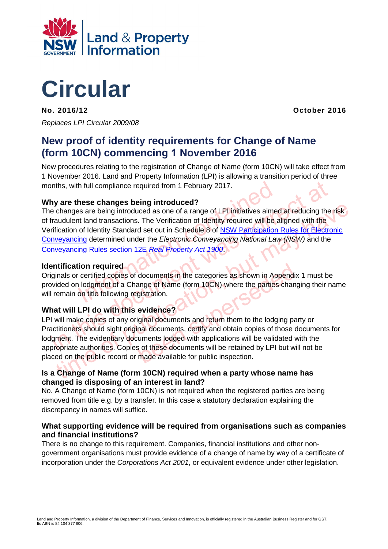

# **Circular**

**No. 2016/12 October 2016**  *Replaces LPI Circular 2009/08* 

## **New proof of identity requirements for Change of Name (form 10CN) commencing 1 November 2016**

New procedures relating to the registration of Change of Name (form 10CN) will take effect from 1 November 2016. Land and Property Information (LPI) is allowing a transition period of three months, with full compliance required from 1 February 2017.

#### **Why are these changes being introduced?**

In full compliance required from 1 February 2017.<br>
In these changes being introduced?<br>
Ins are being introduced as one of a range of LPI initiatives aimed<br>
Internation contained as one of a range of LPI initiatives aimed<br> in [t](http://www.lpi.nsw.gov.au/registrar_general/publications/conveyancing_rules)his, with full compliance required from 1 February 2017.<br>
The variety of endings are being introduced as one of a range of LPI initiatives aimed at reducing the reducing the fraudulent land transactions. The Verificati The these currileges being introduced as one of a range of LPI initiatives aimed at reducing the risk<br>audulent land transactions. The Verification of Identit[y](http://www.lpi.nsw.gov.au/__data/assets/pdf_file/0017/206504/NSW_Participation_Rules_Version_3.pdf) required will be aligned with the<br>fictation of Identity Standar The changes are being introduced as one of a range of LPI initiatives aimed at reducing the risk of fraudulent land transactions. The Verification of Identity required will be aligned with the Verification of Identity Standard set out in Schedule 8 of NSW Participation Rules for Electronic Conveyancing determined under the *Electronic Conveyancing National Law (NSW)* and the Conveyancing Rules section 12E *Real Property Act 1900*.

#### **Identification required**

Originals or certified copies of documents in the categories as shown in Appendix 1 must be provided on lodgment of a Change of Name (form 10CN) where the parties changing their name will remain on title following registration.

#### **What will LPI do with this evidence?**

documents in the categories as shown in Appendix<br>ange of Name (form 10CN) where the parties chang<br>gistration.<br>evidence?<br>iginal documents and return them to the lodging pa<br>nal documents, certify and obtain copies of those d LPI will make copies of any original documents and return them to the lodging party or Practitioners should sight original documents, certify and obtain copies of those documents for lodgment. The evidentiary documents lodged with applications will be validated with the appropriate authorities. Copies of these documents will be retained by LPI but will not be placed on the public record or made available for public inspection.

#### **Is a Change of Name (form 10CN) required when a party whose name has changed is disposing of an interest in land?**

No. A Change of Name (form 10CN) is not required when the registered parties are being removed from title e.g. by a transfer. In this case a statutory declaration explaining the discrepancy in names will suffice.

#### **What supporting evidence will be required from organisations such as companies and financial institutions?**

There is no change to this requirement. Companies, financial institutions and other nongovernment organisations must provide evidence of a change of name by way of a certificate of incorporation under the *Corporations Act 2001*, or equivalent evidence under other legislation.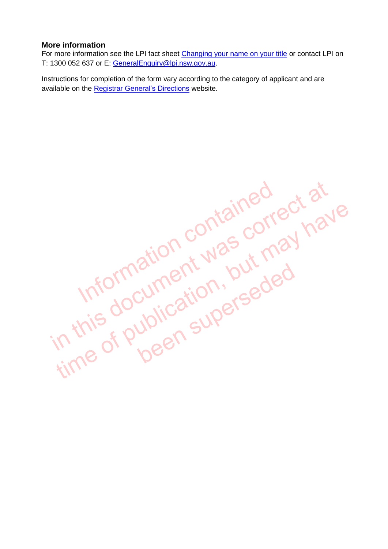#### **More information**

For more information see the LPI fact sheet [Changing your name on your title](http://www.lpi.nsw.gov.au/__data/assets/pdf_file/0004/206626/Changing_your_name_on_your_title.pdf) or contact LPI on T: 1300 052 637 or E: [GeneralEnquiry@lpi.nsw.gov.au.](mailto:GeneralEnquiry@lpi.nsw.gov.au)

Instructions for completion of the form vary according to the category of applicant and are available on the [Registrar General's Directions](http://rgdirections.lpi.nsw.gov.au/land_dealings/dealing_requirements/certificate_title) website.

in this document was correct at<br>Information contained have<br>in this document was put may have time of publication, but may have<br>Information contain, but may have<br>in this document was corred<br>in this of publication, but may been superseded<br>been superseded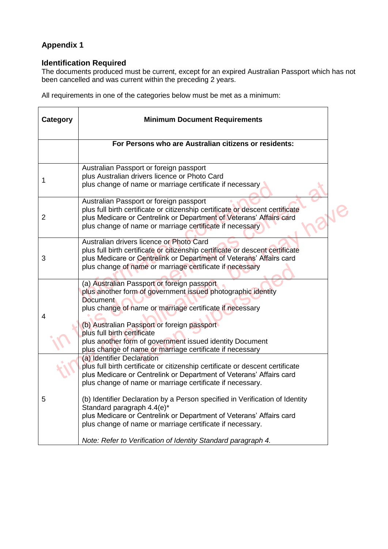### **Appendix 1**

#### **Identification Required**

The documents produced must be current, except for an expired Australian Passport which has not been cancelled and was current within the preceding 2 years.

All requirements in one of the categories below must be met as a minimum:

| Category | <b>Minimum Document Requirements</b>                                                                                                                                                                                                                                                                                                                                                                                                                                                                                                                               |  |
|----------|--------------------------------------------------------------------------------------------------------------------------------------------------------------------------------------------------------------------------------------------------------------------------------------------------------------------------------------------------------------------------------------------------------------------------------------------------------------------------------------------------------------------------------------------------------------------|--|
|          | For Persons who are Australian citizens or residents:                                                                                                                                                                                                                                                                                                                                                                                                                                                                                                              |  |
| 1        | Australian Passport or foreign passport<br>plus Australian drivers licence or Photo Card<br>plus change of name or marriage certificate if necessary                                                                                                                                                                                                                                                                                                                                                                                                               |  |
| 2        | Australian Passport or foreign passport<br>plus full birth certificate or citizenship certificate or descent certificate<br>plus Medicare or Centrelink or Department of Veterans' Affairs card<br>plus change of name or marriage certificate if necessary                                                                                                                                                                                                                                                                                                        |  |
| 3        | Australian drivers licence or Photo Card<br>plus full birth certificate or citizenship certificate or descent certificate<br>plus Medicare or Centrelink or Department of Veterans' Affairs card<br>plus change of name or marriage certificate if necessary                                                                                                                                                                                                                                                                                                       |  |
| 4        | (a) Australian Passport or foreign passport<br>plus another form of government issued photographic identity<br><b>Document</b><br>plus change of name or marriage certificate if necessary<br>(b) Australian Passport or foreign passport<br>plus full birth certificate<br>plus another form of government issued identity Document<br>plus change of name or marriage certificate if necessary                                                                                                                                                                   |  |
| 5        | (a) Identifier Declaration<br>plus full birth certificate or citizenship certificate or descent certificate<br>plus Medicare or Centrelink or Department of Veterans' Affairs card<br>plus change of name or marriage certificate if necessary.<br>(b) Identifier Declaration by a Person specified in Verification of Identity<br>Standard paragraph 4.4(e)*<br>plus Medicare or Centrelink or Department of Veterans' Affairs card<br>plus change of name or marriage certificate if necessary.<br>Note: Refer to Verification of Identity Standard paragraph 4. |  |